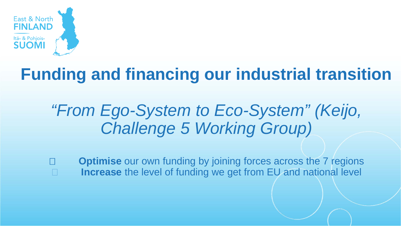

## **Funding and financing our industrial transition**

## *"From Ego-System to Eco-System" (Keijo, Challenge 5 Working Group)*

□ **Optimise** our own funding by joining forces across the 7 regions **Increase** the level of funding we get from EU and national level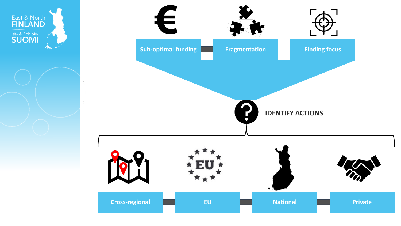